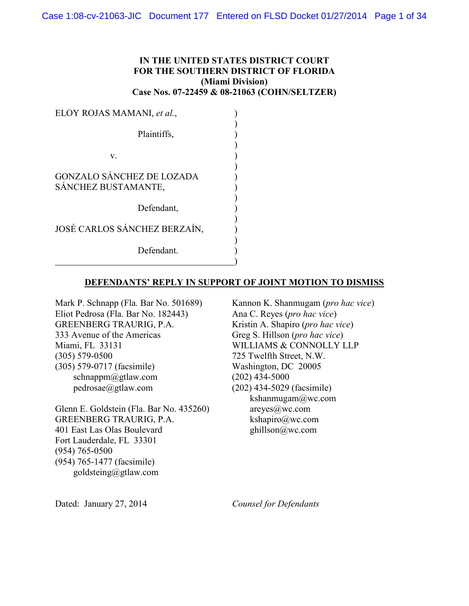# **IN THE UNITED STATES DISTRICT COURT FOR THE SOUTHERN DISTRICT OF FLORIDA (Miami Division) Case Nos. 07-22459 & 08-21063 (COHN/SELTZER)**

| ELOY ROJAS MAMANI, et al.,                              |  |
|---------------------------------------------------------|--|
| Plaintiffs,                                             |  |
| V.                                                      |  |
| <b>GONZALO SÁNCHEZ DE LOZADA</b><br>SÁNCHEZ BUSTAMANTE, |  |
| Defendant,                                              |  |
| JOSÉ CARLOS SÁNCHEZ BERZAÍN,                            |  |
| Defendant.                                              |  |

#### **DEFENDANTS' REPLY IN SUPPORT OF JOINT MOTION TO DISMISS**

Mark P. Schnapp (Fla. Bar No. 501689) Eliot Pedrosa (Fla. Bar No. 182443) GREENBERG TRAURIG, P.A. 333 Avenue of the Americas Miami, FL 33131 (305) 579-0500 (305) 579-0717 (facsimile) schnappm@gtlaw.com pedrosae@gtlaw.com

Glenn E. Goldstein (Fla. Bar No. 435260) GREENBERG TRAURIG, P.A. 401 East Las Olas Boulevard Fort Lauderdale, FL 33301 (954) 765-0500 (954) 765-1477 (facsimile) goldsteing@gtlaw.com

Kannon K. Shanmugam (*pro hac vice*) Ana C. Reyes (*pro hac vice*) Kristin A. Shapiro (*pro hac vice*) Greg S. Hillson (*pro hac vice*) WILLIAMS & CONNOLLY LLP 725 Twelfth Street, N.W. Washington, DC 20005 (202) 434-5000 (202) 434-5029 (facsimile)  $kshannugam@wc.com$ areyes@wc.com kshapiro@wc.com ghillson@wc.com

Dated: January 27, 2014

*Counsel for Defendants*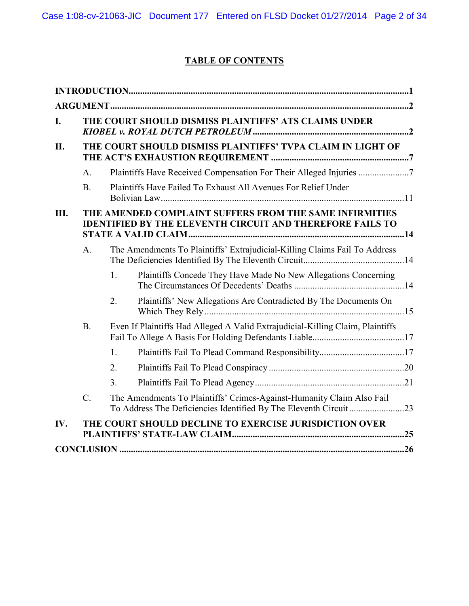# **TABLE OF CONTENTS**

| I.  |                                                             |                | THE COURT SHOULD DISMISS PLAINTIFFS' ATS CLAIMS UNDER                                                                       |  |
|-----|-------------------------------------------------------------|----------------|-----------------------------------------------------------------------------------------------------------------------------|--|
| II. | THE COURT SHOULD DISMISS PLAINTIFFS' TVPA CLAIM IN LIGHT OF |                |                                                                                                                             |  |
|     | A <sub>1</sub>                                              |                | Plaintiffs Have Received Compensation For Their Alleged Injuries                                                            |  |
|     | B <sub>1</sub>                                              |                | Plaintiffs Have Failed To Exhaust All Avenues For Relief Under                                                              |  |
| Ш.  |                                                             |                | THE AMENDED COMPLAINT SUFFERS FROM THE SAME INFIRMITIES<br><b>IDENTIFIED BY THE ELEVENTH CIRCUIT AND THEREFORE FAILS TO</b> |  |
|     | A <sub>1</sub>                                              |                | The Amendments To Plaintiffs' Extrajudicial-Killing Claims Fail To Address                                                  |  |
|     |                                                             | 1 <sub>1</sub> | Plaintiffs Concede They Have Made No New Allegations Concerning                                                             |  |
|     |                                                             | 2.             | Plaintiffs' New Allegations Are Contradicted By The Documents On                                                            |  |
|     | B.                                                          |                | Even If Plaintiffs Had Alleged A Valid Extrajudicial-Killing Claim, Plaintiffs                                              |  |
|     |                                                             | 1.             |                                                                                                                             |  |
|     |                                                             | 2.             |                                                                                                                             |  |
|     |                                                             | 3 <sub>1</sub> |                                                                                                                             |  |
|     | $\mathcal{C}$ .                                             |                | The Amendments To Plaintiffs' Crimes-Against-Humanity Claim Also Fail                                                       |  |
| IV. |                                                             |                | THE COURT SHOULD DECLINE TO EXERCISE JURISDICTION OVER                                                                      |  |
|     |                                                             |                |                                                                                                                             |  |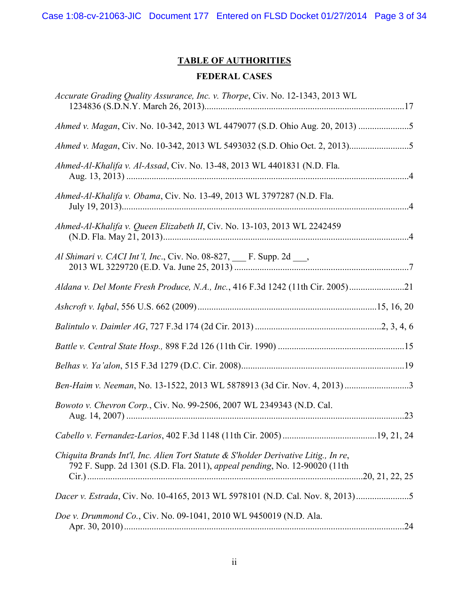Case 1:08-cv-21063-JIC Document 177 Entered on FLSD Docket 01/27/2014 Page 3 of 34

# **TABLE OF AUTHORITIES**

# **FEDERAL CASES**

| Accurate Grading Quality Assurance, Inc. v. Thorpe, Civ. No. 12-1343, 2013 WL                                                                                    |  |
|------------------------------------------------------------------------------------------------------------------------------------------------------------------|--|
| Ahmed v. Magan, Civ. No. 10-342, 2013 WL 4479077 (S.D. Ohio Aug. 20, 2013)                                                                                       |  |
|                                                                                                                                                                  |  |
| Ahmed-Al-Khalifa v. Al-Assad, Civ. No. 13-48, 2013 WL 4401831 (N.D. Fla.                                                                                         |  |
| Ahmed-Al-Khalifa v. Obama, Civ. No. 13-49, 2013 WL 3797287 (N.D. Fla.                                                                                            |  |
| Ahmed-Al-Khalifa v. Queen Elizabeth II, Civ. No. 13-103, 2013 WL 2242459                                                                                         |  |
| Al Shimari v. CACI Int'l, Inc., Civ. No. 08-827, ___ F. Supp. 2d ___,                                                                                            |  |
| Aldana v. Del Monte Fresh Produce, N.A., Inc., 416 F.3d 1242 (11th Cir. 2005)21                                                                                  |  |
|                                                                                                                                                                  |  |
|                                                                                                                                                                  |  |
|                                                                                                                                                                  |  |
|                                                                                                                                                                  |  |
|                                                                                                                                                                  |  |
| Bowoto v. Chevron Corp., Civ. No. 99-2506, 2007 WL 2349343 (N.D. Cal.                                                                                            |  |
|                                                                                                                                                                  |  |
| Chiquita Brands Int'l, Inc. Alien Tort Statute & S'holder Derivative Litig., In re,<br>792 F. Supp. 2d 1301 (S.D. Fla. 2011), appeal pending, No. 12-90020 (11th |  |
| Dacer v. Estrada, Civ. No. 10-4165, 2013 WL 5978101 (N.D. Cal. Nov. 8, 2013)5                                                                                    |  |
| Doe v. Drummond Co., Civ. No. 09-1041, 2010 WL 9450019 (N.D. Ala.                                                                                                |  |
|                                                                                                                                                                  |  |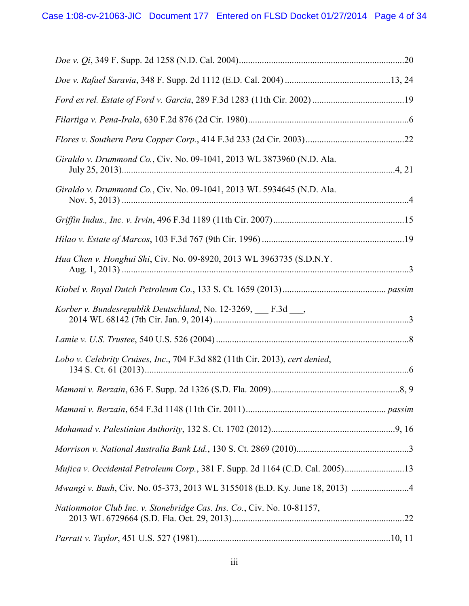| Giraldo v. Drummond Co., Civ. No. 09-1041, 2013 WL 3873960 (N.D. Ala.         |  |
|-------------------------------------------------------------------------------|--|
| Giraldo v. Drummond Co., Civ. No. 09-1041, 2013 WL 5934645 (N.D. Ala.         |  |
|                                                                               |  |
|                                                                               |  |
| Hua Chen v. Honghui Shi, Civ. No. 09-8920, 2013 WL 3963735 (S.D.N.Y.          |  |
|                                                                               |  |
| Korber v. Bundesrepublik Deutschland, No. 12-3269, F.3d ___,                  |  |
|                                                                               |  |
| Lobo v. Celebrity Cruises, Inc., 704 F.3d 882 (11th Cir. 2013), cert denied,  |  |
|                                                                               |  |
|                                                                               |  |
|                                                                               |  |
|                                                                               |  |
| Mujica v. Occidental Petroleum Corp., 381 F. Supp. 2d 1164 (C.D. Cal. 2005)13 |  |
|                                                                               |  |
| Nationmotor Club Inc. v. Stonebridge Cas. Ins. Co., Civ. No. 10-81157,        |  |
|                                                                               |  |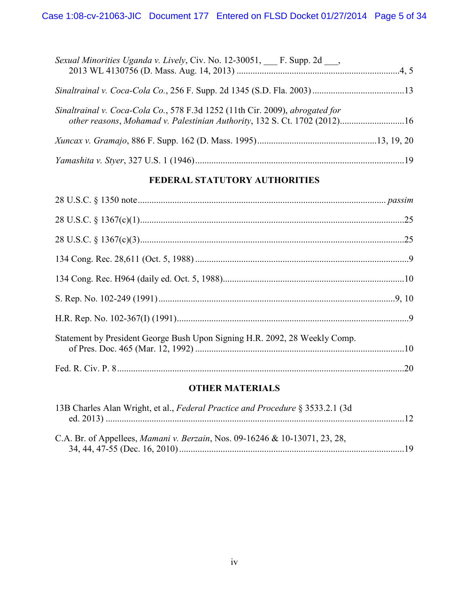| Sexual Minorities Uganda v. Lively, Civ. No. 12-30051, F. Supp. 2d,                                                                                       |  |
|-----------------------------------------------------------------------------------------------------------------------------------------------------------|--|
|                                                                                                                                                           |  |
| Sinaltrainal v. Coca-Cola Co., 578 F.3d 1252 (11th Cir. 2009), abrogated for<br>other reasons, Mohamad v. Palestinian Authority, 132 S. Ct. 1702 (2012)16 |  |
|                                                                                                                                                           |  |
|                                                                                                                                                           |  |

# **FEDERAL STATUTORY AUTHORITIES**

| Statement by President George Bush Upon Signing H.R. 2092, 28 Weekly Comp. |  |
|----------------------------------------------------------------------------|--|
|                                                                            |  |

# **OTHER MATERIALS**

| 13B Charles Alan Wright, et al., Federal Practice and Procedure § 3533.2.1 (3d)     |  |
|-------------------------------------------------------------------------------------|--|
|                                                                                     |  |
|                                                                                     |  |
| C.A. Br. of Appellees, <i>Mamani v. Berzain</i> , Nos. 09-16246 & 10-13071, 23, 28, |  |
|                                                                                     |  |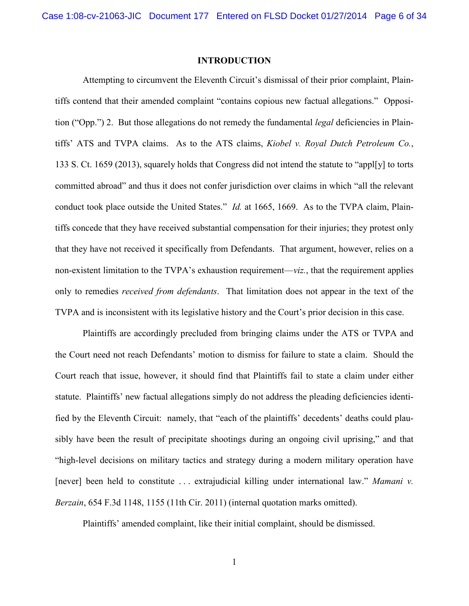#### **INTRODUCTION**

Attempting to circumvent the Eleventh Circuit's dismissal of their prior complaint, Plaintiffs contend that their amended complaint "contains copious new factual allegations." Opposition ("Opp.") 2. But those allegations do not remedy the fundamental *legal* deficiencies in Plaintiffs' ATS and TVPA claims. As to the ATS claims, *Kiobel v. Royal Dutch Petroleum Co.*, 133 S. Ct. 1659 (2013), squarely holds that Congress did not intend the statute to "appl[y] to torts committed abroad" and thus it does not confer jurisdiction over claims in which "all the relevant conduct took place outside the United States." *Id.* at 1665, 1669. As to the TVPA claim, Plaintiffs concede that they have received substantial compensation for their injuries; they protest only that they have not received it specifically from Defendants. That argument, however, relies on a non-existent limitation to the TVPA's exhaustion requirement—*viz.*, that the requirement applies only to remedies *received from defendants*. That limitation does not appear in the text of the TVPA and is inconsistent with its legislative history and the Court's prior decision in this case.

Plaintiffs are accordingly precluded from bringing claims under the ATS or TVPA and the Court need not reach Defendants' motion to dismiss for failure to state a claim. Should the Court reach that issue, however, it should find that Plaintiffs fail to state a claim under either statute. Plaintiffs' new factual allegations simply do not address the pleading deficiencies identified by the Eleventh Circuit: namely, that "each of the plaintiffs' decedents' deaths could plausibly have been the result of precipitate shootings during an ongoing civil uprising," and that "high-level decisions on military tactics and strategy during a modern military operation have [never] been held to constitute . . . extrajudicial killing under international law." *Mamani v. Berzain*, 654 F.3d 1148, 1155 (11th Cir. 2011) (internal quotation marks omitted).

Plaintiffs' amended complaint, like their initial complaint, should be dismissed.

1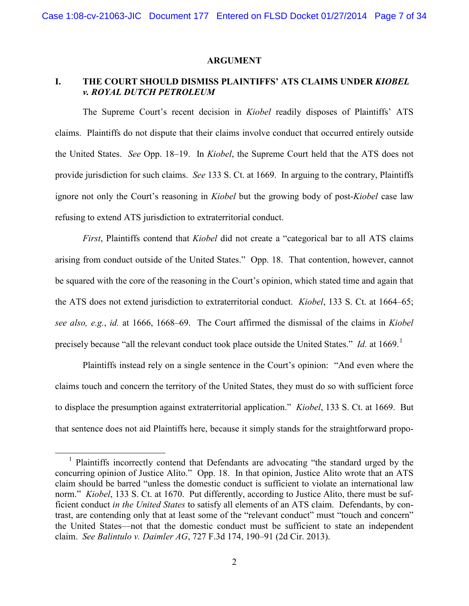#### **ARGUMENT**

# **I. THE COURT SHOULD DISMISS PLAINTIFFS' ATS CLAIMS UNDER** *KIOBEL v. ROYAL DUTCH PETROLEUM*

The Supreme Court's recent decision in *Kiobel* readily disposes of Plaintiffs' ATS claims. Plaintiffs do not dispute that their claims involve conduct that occurred entirely outside the United States. *See* Opp. 18–19. In *Kiobel*, the Supreme Court held that the ATS does not provide jurisdiction for such claims. *See* 133 S. Ct. at 1669. In arguing to the contrary, Plaintiffs ignore not only the Court's reasoning in *Kiobel* but the growing body of post-*Kiobel* case law refusing to extend ATS jurisdiction to extraterritorial conduct.

*First*, Plaintiffs contend that *Kiobel* did not create a "categorical bar to all ATS claims arising from conduct outside of the United States." Opp. 18. That contention, however, cannot be squared with the core of the reasoning in the Court's opinion, which stated time and again that the ATS does not extend jurisdiction to extraterritorial conduct. *Kiobel*, 133 S. Ct. at 1664–65; *see also, e.g.*, *id.* at 1666, 1668–69. The Court affirmed the dismissal of the claims in *Kiobel* precisely because "all the relevant conduct took place outside the United States." *Id.* at 1669.<sup>1</sup>

Plaintiffs instead rely on a single sentence in the Court's opinion: "And even where the claims touch and concern the territory of the United States, they must do so with sufficient force to displace the presumption against extraterritorial application." *Kiobel*, 133 S. Ct. at 1669. But that sentence does not aid Plaintiffs here, because it simply stands for the straightforward propo-

<sup>&</sup>lt;sup>1</sup> Plaintiffs incorrectly contend that Defendants are advocating "the standard urged by the concurring opinion of Justice Alito." Opp. 18. In that opinion, Justice Alito wrote that an ATS claim should be barred "unless the domestic conduct is sufficient to violate an international law norm." *Kiobel*, 133 S. Ct. at 1670. Put differently, according to Justice Alito, there must be sufficient conduct *in the United States* to satisfy all elements of an ATS claim. Defendants, by contrast, are contending only that at least some of the "relevant conduct" must "touch and concern" the United States—not that the domestic conduct must be sufficient to state an independent claim. *See Balintulo v. Daimler AG*, 727 F.3d 174, 190–91 (2d Cir. 2013).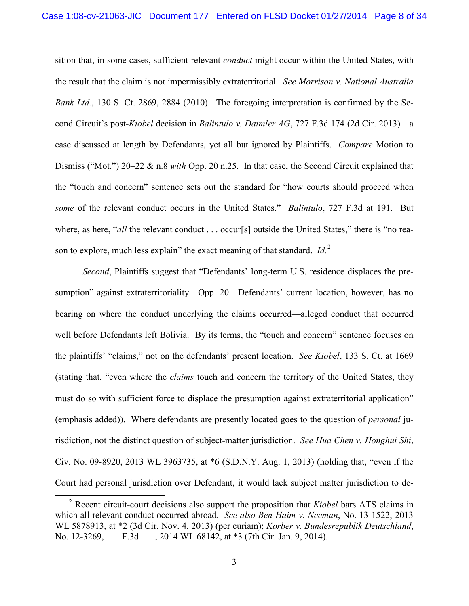sition that, in some cases, sufficient relevant *conduct* might occur within the United States, with the result that the claim is not impermissibly extraterritorial. *See Morrison v. National Australia Bank Ltd.*, 130 S. Ct. 2869, 2884 (2010). The foregoing interpretation is confirmed by the Second Circuit's post-*Kiobel* decision in *Balintulo v. Daimler AG*, 727 F.3d 174 (2d Cir. 2013)—a case discussed at length by Defendants, yet all but ignored by Plaintiffs. *Compare* Motion to Dismiss ("Mot.") 20–22 & n.8 *with* Opp. 20 n.25. In that case, the Second Circuit explained that the "touch and concern" sentence sets out the standard for "how courts should proceed when *some* of the relevant conduct occurs in the United States." *Balintulo*, 727 F.3d at 191. But where, as here, "*all* the relevant conduct . . . occur[s] outside the United States," there is "no reason to explore, much less explain" the exact meaning of that standard. *Id.*<sup>2</sup>

*Second*, Plaintiffs suggest that "Defendants' long-term U.S. residence displaces the presumption" against extraterritoriality. Opp. 20. Defendants' current location, however, has no bearing on where the conduct underlying the claims occurred—alleged conduct that occurred well before Defendants left Bolivia. By its terms, the "touch and concern" sentence focuses on the plaintiffs' "claims," not on the defendants' present location. *See Kiobel*, 133 S. Ct. at 1669 (stating that, "even where the *claims* touch and concern the territory of the United States, they must do so with sufficient force to displace the presumption against extraterritorial application" (emphasis added)). Where defendants are presently located goes to the question of *personal* jurisdiction, not the distinct question of subject-matter jurisdiction. *See Hua Chen v. Honghui Shi*, Civ. No. 09-8920, 2013 WL 3963735, at \*6 (S.D.N.Y. Aug. 1, 2013) (holding that, "even if the Court had personal jurisdiction over Defendant, it would lack subject matter jurisdiction to de-

<sup>2</sup> Recent circuit-court decisions also support the proposition that *Kiobel* bars ATS claims in which all relevant conduct occurred abroad. *See also Ben-Haim v. Neeman*, No. 13-1522, 2013 WL 5878913, at \*2 (3d Cir. Nov. 4, 2013) (per curiam); *Korber v. Bundesrepublik Deutschland*, No. 12-3269, F.3d 3014 WL 68142, at \*3 (7th Cir. Jan. 9, 2014).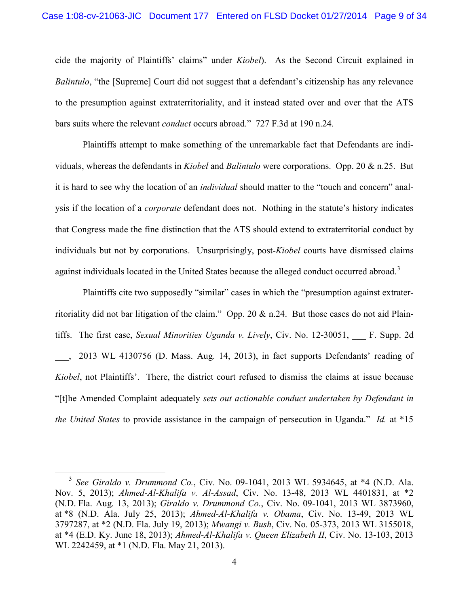cide the majority of Plaintiffs' claims" under *Kiobel*). As the Second Circuit explained in *Balintulo*, "the [Supreme] Court did not suggest that a defendant's citizenship has any relevance to the presumption against extraterritoriality, and it instead stated over and over that the ATS bars suits where the relevant *conduct* occurs abroad." 727 F.3d at 190 n.24.

Plaintiffs attempt to make something of the unremarkable fact that Defendants are individuals, whereas the defendants in *Kiobel* and *Balintulo* were corporations. Opp. 20 & n.25. But it is hard to see why the location of an *individual* should matter to the "touch and concern" analysis if the location of a *corporate* defendant does not. Nothing in the statute's history indicates that Congress made the fine distinction that the ATS should extend to extraterritorial conduct by individuals but not by corporations. Unsurprisingly, post-*Kiobel* courts have dismissed claims against individuals located in the United States because the alleged conduct occurred abroad.<sup>3</sup>

Plaintiffs cite two supposedly "similar" cases in which the "presumption against extraterritoriality did not bar litigation of the claim." Opp. 20 & n.24. But those cases do not aid Plaintiffs. The first case, *Sexual Minorities Uganda v. Lively*, Civ. No. 12-30051, F. Supp. 2d 2013 WL 4130756 (D. Mass. Aug. 14, 2013), in fact supports Defendants' reading of *Kiobel*, not Plaintiffs'. There, the district court refused to dismiss the claims at issue because "[t]he Amended Complaint adequately *sets out actionable conduct undertaken by Defendant in the United States* to provide assistance in the campaign of persecution in Uganda." *Id.* at \*15

<sup>3</sup> *See Giraldo v. Drummond Co.*, Civ. No. 09-1041, 2013 WL 5934645, at \*4 (N.D. Ala. Nov. 5, 2013); *Ahmed-Al-Khalifa v. Al-Assad*, Civ. No. 13-48, 2013 WL 4401831, at \*2 (N.D. Fla. Aug. 13, 2013); *Giraldo v. Drummond Co.*, Civ. No. 09-1041, 2013 WL 3873960, at \*8 (N.D. Ala. July 25, 2013); *Ahmed-Al-Khalifa v. Obama*, Civ. No. 13-49, 2013 WL 3797287, at \*2 (N.D. Fla. July 19, 2013); *Mwangi v. Bush*, Civ. No. 05-373, 2013 WL 3155018, at \*4 (E.D. Ky. June 18, 2013); *Ahmed-Al-Khalifa v. Queen Elizabeth II*, Civ. No. 13-103, 2013 WL 2242459, at \*1 (N.D. Fla. May 21, 2013).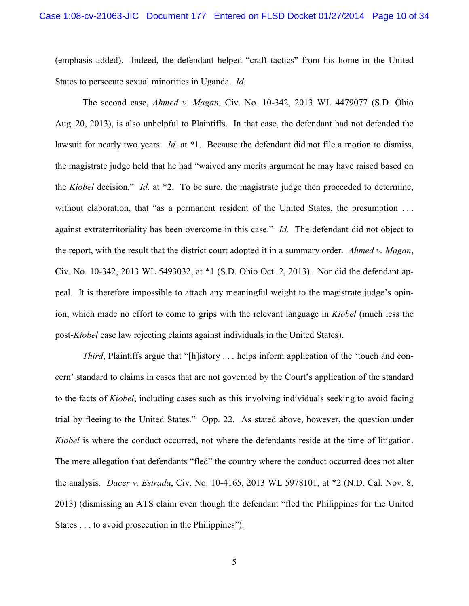(emphasis added). Indeed, the defendant helped "craft tactics" from his home in the United States to persecute sexual minorities in Uganda. *Id.*

The second case, *Ahmed v. Magan*, Civ. No. 10-342, 2013 WL 4479077 (S.D. Ohio Aug. 20, 2013), is also unhelpful to Plaintiffs. In that case, the defendant had not defended the lawsuit for nearly two years. *Id.* at \*1. Because the defendant did not file a motion to dismiss, the magistrate judge held that he had "waived any merits argument he may have raised based on the *Kiobel* decision." *Id.* at \*2. To be sure, the magistrate judge then proceeded to determine, without elaboration, that "as a permanent resident of the United States, the presumption ... against extraterritoriality has been overcome in this case." *Id.* The defendant did not object to the report, with the result that the district court adopted it in a summary order. *Ahmed v. Magan*, Civ. No. 10-342, 2013 WL 5493032, at \*1 (S.D. Ohio Oct. 2, 2013). Nor did the defendant appeal. It is therefore impossible to attach any meaningful weight to the magistrate judge's opinion, which made no effort to come to grips with the relevant language in *Kiobel* (much less the post-*Kiobel* case law rejecting claims against individuals in the United States).

*Third*, Plaintiffs argue that "[h]istory . . . helps inform application of the 'touch and concern' standard to claims in cases that are not governed by the Court's application of the standard to the facts of *Kiobel*, including cases such as this involving individuals seeking to avoid facing trial by fleeing to the United States." Opp. 22. As stated above, however, the question under *Kiobel* is where the conduct occurred, not where the defendants reside at the time of litigation. The mere allegation that defendants "fled" the country where the conduct occurred does not alter the analysis. *Dacer v. Estrada*, Civ. No. 10-4165, 2013 WL 5978101, at \*2 (N.D. Cal. Nov. 8, 2013) (dismissing an ATS claim even though the defendant "fled the Philippines for the United States . . . to avoid prosecution in the Philippines").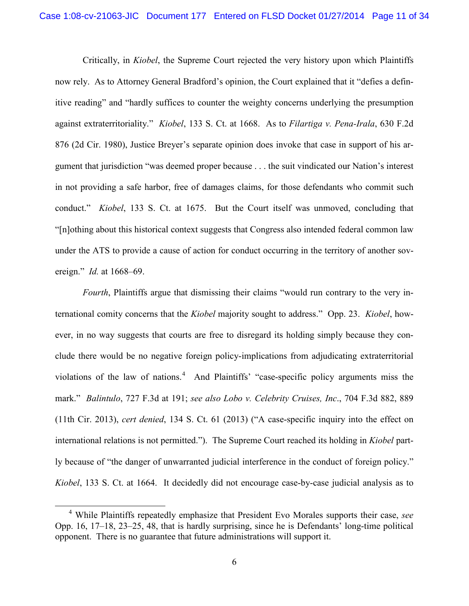Critically, in *Kiobel*, the Supreme Court rejected the very history upon which Plaintiffs now rely. As to Attorney General Bradford's opinion, the Court explained that it "defies a definitive reading" and "hardly suffices to counter the weighty concerns underlying the presumption against extraterritoriality." *Kiobel*, 133 S. Ct. at 1668. As to *Filartiga v. Pena-Irala*, 630 F.2d 876 (2d Cir. 1980), Justice Breyer's separate opinion does invoke that case in support of his argument that jurisdiction "was deemed proper because . . . the suit vindicated our Nation's interest in not providing a safe harbor, free of damages claims, for those defendants who commit such conduct." *Kiobel*, 133 S. Ct. at 1675. But the Court itself was unmoved, concluding that "[n]othing about this historical context suggests that Congress also intended federal common law under the ATS to provide a cause of action for conduct occurring in the territory of another sovereign." *Id.* at 1668–69.

*Fourth*, Plaintiffs argue that dismissing their claims "would run contrary to the very international comity concerns that the *Kiobel* majority sought to address." Opp. 23. *Kiobel*, however, in no way suggests that courts are free to disregard its holding simply because they conclude there would be no negative foreign policy-implications from adjudicating extraterritorial violations of the law of nations.<sup>4</sup> And Plaintiffs' "case-specific policy arguments miss the mark." *Balintulo*, 727 F.3d at 191; *see also Lobo v. Celebrity Cruises, Inc*., 704 F.3d 882, 889 (11th Cir. 2013), *cert denied*, 134 S. Ct. 61 (2013) ("A case-specific inquiry into the effect on international relations is not permitted."). The Supreme Court reached its holding in *Kiobel* partly because of "the danger of unwarranted judicial interference in the conduct of foreign policy." *Kiobel*, 133 S. Ct. at 1664. It decidedly did not encourage case-by-case judicial analysis as to

<sup>4</sup> While Plaintiffs repeatedly emphasize that President Evo Morales supports their case, *see* Opp. 16, 17–18, 23–25, 48, that is hardly surprising, since he is Defendants' long-time political opponent. There is no guarantee that future administrations will support it.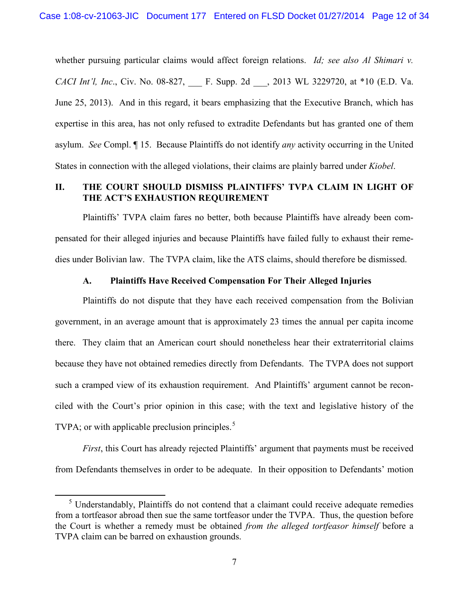whether pursuing particular claims would affect foreign relations. *Id; see also Al Shimari v. CACI Int'l, Inc.*, Civ. No. 08-827, **F.** Supp. 2d , 2013 WL 3229720, at \*10 (E.D. Va. June 25, 2013). And in this regard, it bears emphasizing that the Executive Branch, which has expertise in this area, has not only refused to extradite Defendants but has granted one of them asylum. *See* Compl. ¶ 15. Because Plaintiffs do not identify *any* activity occurring in the United States in connection with the alleged violations, their claims are plainly barred under *Kiobel*.

# **II. THE COURT SHOULD DISMISS PLAINTIFFS' TVPA CLAIM IN LIGHT OF THE ACT'S EXHAUSTION REQUIREMENT**

Plaintiffs' TVPA claim fares no better, both because Plaintiffs have already been compensated for their alleged injuries and because Plaintiffs have failed fully to exhaust their remedies under Bolivian law. The TVPA claim, like the ATS claims, should therefore be dismissed.

#### **A. Plaintiffs Have Received Compensation For Their Alleged Injuries**

Plaintiffs do not dispute that they have each received compensation from the Bolivian government, in an average amount that is approximately 23 times the annual per capita income there. They claim that an American court should nonetheless hear their extraterritorial claims because they have not obtained remedies directly from Defendants. The TVPA does not support such a cramped view of its exhaustion requirement. And Plaintiffs' argument cannot be reconciled with the Court's prior opinion in this case; with the text and legislative history of the TVPA; or with applicable preclusion principles. $5$ 

*First*, this Court has already rejected Plaintiffs' argument that payments must be received from Defendants themselves in order to be adequate. In their opposition to Defendants' motion

 $<sup>5</sup>$  Understandably, Plaintiffs do not contend that a claimant could receive adequate remedies</sup> from a tortfeasor abroad then sue the same tortfeasor under the TVPA. Thus, the question before the Court is whether a remedy must be obtained *from the alleged tortfeasor himself* before a TVPA claim can be barred on exhaustion grounds.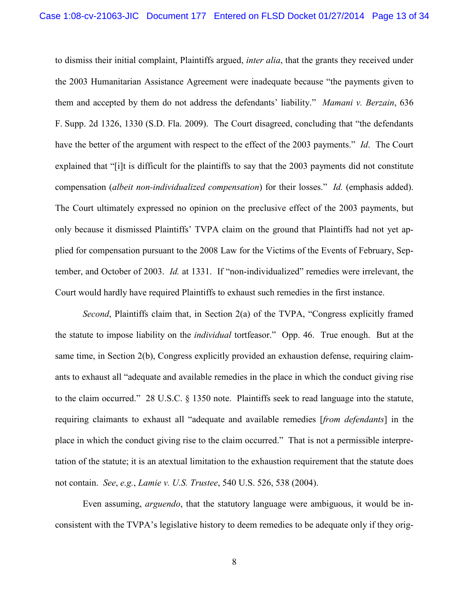to dismiss their initial complaint, Plaintiffs argued, *inter alia*, that the grants they received under the 2003 Humanitarian Assistance Agreement were inadequate because "the payments given to them and accepted by them do not address the defendants' liability." *Mamani v. Berzain*, 636 F. Supp. 2d 1326, 1330 (S.D. Fla. 2009). The Court disagreed, concluding that "the defendants have the better of the argument with respect to the effect of the 2003 payments." *Id*. The Court explained that "[i]t is difficult for the plaintiffs to say that the 2003 payments did not constitute compensation (*albeit non-individualized compensation*) for their losses." *Id.* (emphasis added). The Court ultimately expressed no opinion on the preclusive effect of the 2003 payments, but only because it dismissed Plaintiffs' TVPA claim on the ground that Plaintiffs had not yet applied for compensation pursuant to the 2008 Law for the Victims of the Events of February, September, and October of 2003. *Id.* at 1331. If "non-individualized" remedies were irrelevant, the Court would hardly have required Plaintiffs to exhaust such remedies in the first instance.

*Second*, Plaintiffs claim that, in Section 2(a) of the TVPA, "Congress explicitly framed the statute to impose liability on the *individual* tortfeasor." Opp. 46. True enough. But at the same time, in Section 2(b), Congress explicitly provided an exhaustion defense, requiring claimants to exhaust all "adequate and available remedies in the place in which the conduct giving rise to the claim occurred." 28 U.S.C. § 1350 note. Plaintiffs seek to read language into the statute, requiring claimants to exhaust all "adequate and available remedies [*from defendants*] in the place in which the conduct giving rise to the claim occurred." That is not a permissible interpretation of the statute; it is an atextual limitation to the exhaustion requirement that the statute does not contain. *See*, *e.g.*, *Lamie v. U.S. Trustee*, 540 U.S. 526, 538 (2004).

Even assuming, *arguendo*, that the statutory language were ambiguous, it would be inconsistent with the TVPA's legislative history to deem remedies to be adequate only if they orig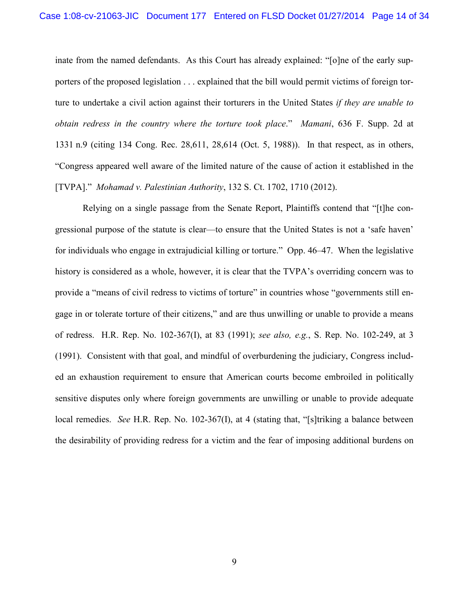inate from the named defendants. As this Court has already explained: "[o]ne of the early supporters of the proposed legislation . . . explained that the bill would permit victims of foreign torture to undertake a civil action against their torturers in the United States *if they are unable to obtain redress in the country where the torture took place*." *Mamani*, 636 F. Supp. 2d at 1331 n.9 (citing 134 Cong. Rec. 28,611, 28,614 (Oct. 5, 1988)). In that respect, as in others, "Congress appeared well aware of the limited nature of the cause of action it established in the [TVPA]." *Mohamad v. Palestinian Authority*, 132 S. Ct. 1702, 1710 (2012).

Relying on a single passage from the Senate Report, Plaintiffs contend that "[t]he congressional purpose of the statute is clear—to ensure that the United States is not a 'safe haven' for individuals who engage in extrajudicial killing or torture." Opp. 46–47. When the legislative history is considered as a whole, however, it is clear that the TVPA's overriding concern was to provide a "means of civil redress to victims of torture" in countries whose "governments still engage in or tolerate torture of their citizens," and are thus unwilling or unable to provide a means of redress. H.R. Rep. No. 102-367(I), at 83 (1991); *see also, e.g.*, S. Rep. No. 102-249, at 3 (1991). Consistent with that goal, and mindful of overburdening the judiciary, Congress included an exhaustion requirement to ensure that American courts become embroiled in politically sensitive disputes only where foreign governments are unwilling or unable to provide adequate local remedies. *See* H.R. Rep. No. 102-367(I), at 4 (stating that, "[s]triking a balance between the desirability of providing redress for a victim and the fear of imposing additional burdens on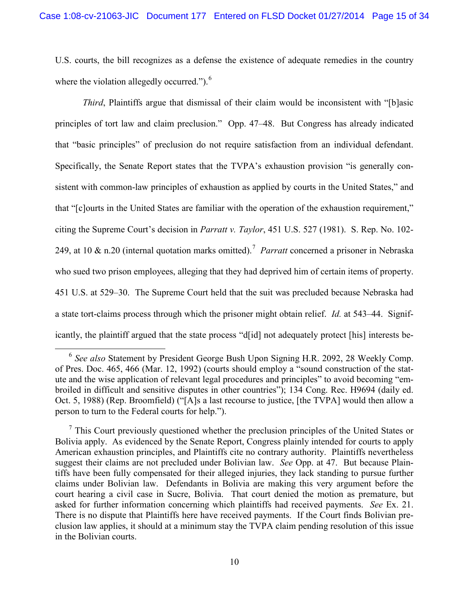U.S. courts, the bill recognizes as a defense the existence of adequate remedies in the country where the violation allegedly occurred." $)$ .<sup>6</sup>

*Third*, Plaintiffs argue that dismissal of their claim would be inconsistent with "[b]asic principles of tort law and claim preclusion." Opp. 47–48. But Congress has already indicated that "basic principles" of preclusion do not require satisfaction from an individual defendant. Specifically, the Senate Report states that the TVPA's exhaustion provision "is generally consistent with common-law principles of exhaustion as applied by courts in the United States," and that "[c]ourts in the United States are familiar with the operation of the exhaustion requirement," citing the Supreme Court's decision in *Parratt v. Taylor*, 451 U.S. 527 (1981). S. Rep. No. 102- 249, at 10 & n.20 (internal quotation marks omitted). 7 *Parratt* concerned a prisoner in Nebraska who sued two prison employees, alleging that they had deprived him of certain items of property. 451 U.S. at 529–30. The Supreme Court held that the suit was precluded because Nebraska had a state tort-claims process through which the prisoner might obtain relief. *Id.* at 543–44. Significantly, the plaintiff argued that the state process "d[id] not adequately protect [his] interests be-

<sup>6</sup> *See also* Statement by President George Bush Upon Signing H.R. 2092, 28 Weekly Comp. of Pres. Doc. 465, 466 (Mar. 12, 1992) (courts should employ a "sound construction of the statute and the wise application of relevant legal procedures and principles" to avoid becoming "embroiled in difficult and sensitive disputes in other countries"); 134 Cong. Rec. H9694 (daily ed. Oct. 5, 1988) (Rep. Broomfield) ("[A]s a last recourse to justice, [the TVPA] would then allow a person to turn to the Federal courts for help.").

 $<sup>7</sup>$  This Court previously questioned whether the preclusion principles of the United States or</sup> Bolivia apply. As evidenced by the Senate Report, Congress plainly intended for courts to apply American exhaustion principles, and Plaintiffs cite no contrary authority. Plaintiffs nevertheless suggest their claims are not precluded under Bolivian law. *See* Opp. at 47. But because Plaintiffs have been fully compensated for their alleged injuries, they lack standing to pursue further claims under Bolivian law. Defendants in Bolivia are making this very argument before the court hearing a civil case in Sucre, Bolivia. That court denied the motion as premature, but asked for further information concerning which plaintiffs had received payments. *See* Ex. 21. There is no dispute that Plaintiffs here have received payments. If the Court finds Bolivian preclusion law applies, it should at a minimum stay the TVPA claim pending resolution of this issue in the Bolivian courts.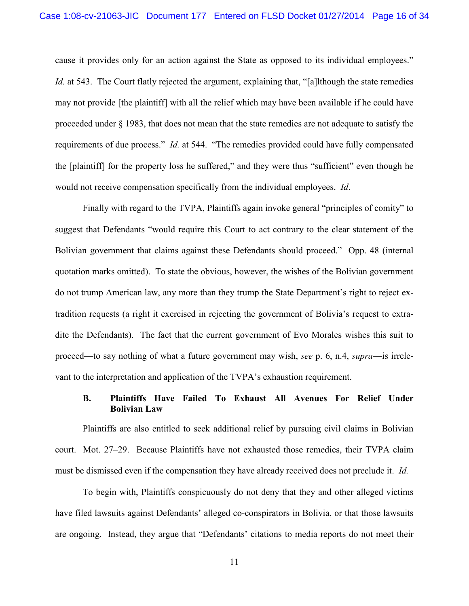cause it provides only for an action against the State as opposed to its individual employees." *Id.* at 543. The Court flatly rejected the argument, explaining that, "[a]lthough the state remedies may not provide [the plaintiff] with all the relief which may have been available if he could have proceeded under § 1983, that does not mean that the state remedies are not adequate to satisfy the requirements of due process." *Id.* at 544. "The remedies provided could have fully compensated the [plaintiff] for the property loss he suffered," and they were thus "sufficient" even though he would not receive compensation specifically from the individual employees. *Id*.

Finally with regard to the TVPA, Plaintiffs again invoke general "principles of comity" to suggest that Defendants "would require this Court to act contrary to the clear statement of the Bolivian government that claims against these Defendants should proceed." Opp. 48 (internal quotation marks omitted). To state the obvious, however, the wishes of the Bolivian government do not trump American law, any more than they trump the State Department's right to reject extradition requests (a right it exercised in rejecting the government of Bolivia's request to extradite the Defendants). The fact that the current government of Evo Morales wishes this suit to proceed—to say nothing of what a future government may wish, *see* p. 6, n.4, *supra*—is irrelevant to the interpretation and application of the TVPA's exhaustion requirement.

## **B. Plaintiffs Have Failed To Exhaust All Avenues For Relief Under Bolivian Law**

Plaintiffs are also entitled to seek additional relief by pursuing civil claims in Bolivian court. Mot. 27–29. Because Plaintiffs have not exhausted those remedies, their TVPA claim must be dismissed even if the compensation they have already received does not preclude it. *Id.*

To begin with, Plaintiffs conspicuously do not deny that they and other alleged victims have filed lawsuits against Defendants' alleged co-conspirators in Bolivia, or that those lawsuits are ongoing. Instead, they argue that "Defendants' citations to media reports do not meet their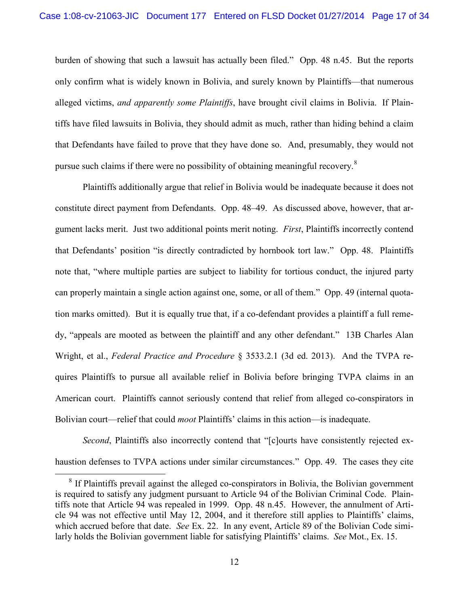burden of showing that such a lawsuit has actually been filed." Opp. 48 n.45. But the reports only confirm what is widely known in Bolivia, and surely known by Plaintiffs—that numerous alleged victims, *and apparently some Plaintiffs*, have brought civil claims in Bolivia. If Plaintiffs have filed lawsuits in Bolivia, they should admit as much, rather than hiding behind a claim that Defendants have failed to prove that they have done so. And, presumably, they would not pursue such claims if there were no possibility of obtaining meaningful recovery.<sup>8</sup>

Plaintiffs additionally argue that relief in Bolivia would be inadequate because it does not constitute direct payment from Defendants. Opp. 48–49. As discussed above, however, that argument lacks merit. Just two additional points merit noting. *First*, Plaintiffs incorrectly contend that Defendants' position "is directly contradicted by hornbook tort law." Opp. 48. Plaintiffs note that, "where multiple parties are subject to liability for tortious conduct, the injured party can properly maintain a single action against one, some, or all of them." Opp. 49 (internal quotation marks omitted). But it is equally true that, if a co-defendant provides a plaintiff a full remedy, "appeals are mooted as between the plaintiff and any other defendant." 13B Charles Alan Wright, et al., *Federal Practice and Procedure* § 3533.2.1 (3d ed. 2013). And the TVPA requires Plaintiffs to pursue all available relief in Bolivia before bringing TVPA claims in an American court. Plaintiffs cannot seriously contend that relief from alleged co-conspirators in Bolivian court—relief that could *moot* Plaintiffs' claims in this action—is inadequate.

*Second*, Plaintiffs also incorrectly contend that "[c]ourts have consistently rejected exhaustion defenses to TVPA actions under similar circumstances." Opp. 49. The cases they cite

<sup>&</sup>lt;sup>8</sup> If Plaintiffs prevail against the alleged co-conspirators in Bolivia, the Bolivian government is required to satisfy any judgment pursuant to Article 94 of the Bolivian Criminal Code. Plaintiffs note that Article 94 was repealed in 1999. Opp. 48 n.45. However, the annulment of Article 94 was not effective until May 12, 2004, and it therefore still applies to Plaintiffs' claims, which accrued before that date. *See* Ex. 22. In any event, Article 89 of the Bolivian Code similarly holds the Bolivian government liable for satisfying Plaintiffs' claims. *See* Mot., Ex. 15.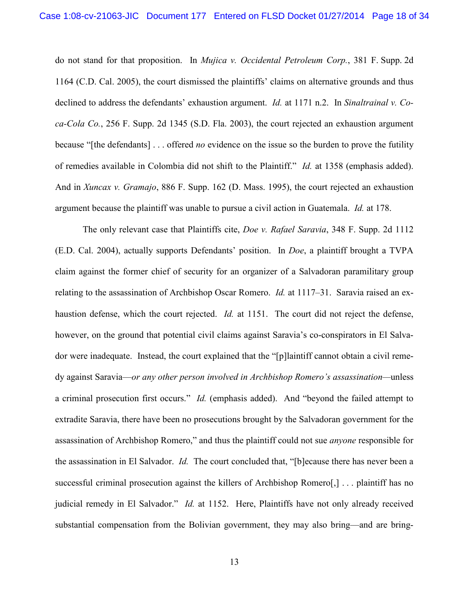do not stand for that proposition. In *Mujica v. Occidental Petroleum Corp.*, 381 F. Supp. 2d 1164 (C.D. Cal. 2005), the court dismissed the plaintiffs' claims on alternative grounds and thus declined to address the defendants' exhaustion argument. *Id.* at 1171 n.2. In *Sinaltrainal v. Coca-Cola Co.*, 256 F. Supp. 2d 1345 (S.D. Fla. 2003), the court rejected an exhaustion argument because "[the defendants] . . . offered *no* evidence on the issue so the burden to prove the futility of remedies available in Colombia did not shift to the Plaintiff." *Id.* at 1358 (emphasis added). And in *Xuncax v. Gramajo*, 886 F. Supp. 162 (D. Mass. 1995), the court rejected an exhaustion argument because the plaintiff was unable to pursue a civil action in Guatemala. *Id.* at 178.

The only relevant case that Plaintiffs cite, *Doe v. Rafael Saravia*, 348 F. Supp. 2d 1112 (E.D. Cal. 2004), actually supports Defendants' position. In *Doe*, a plaintiff brought a TVPA claim against the former chief of security for an organizer of a Salvadoran paramilitary group relating to the assassination of Archbishop Oscar Romero. *Id.* at 1117–31. Saravia raised an exhaustion defense, which the court rejected. *Id.* at 1151. The court did not reject the defense, however, on the ground that potential civil claims against Saravia's co-conspirators in El Salvador were inadequate. Instead, the court explained that the "[p]laintiff cannot obtain a civil remedy against Saravia—*or any other person involved in Archbishop Romero's assassination—*unless a criminal prosecution first occurs." *Id.* (emphasis added). And "beyond the failed attempt to extradite Saravia, there have been no prosecutions brought by the Salvadoran government for the assassination of Archbishop Romero," and thus the plaintiff could not sue *anyone* responsible for the assassination in El Salvador. *Id.* The court concluded that, "[b]ecause there has never been a successful criminal prosecution against the killers of Archbishop Romero[,] ... plaintiff has no judicial remedy in El Salvador." *Id.* at 1152. Here, Plaintiffs have not only already received substantial compensation from the Bolivian government, they may also bring—and are bring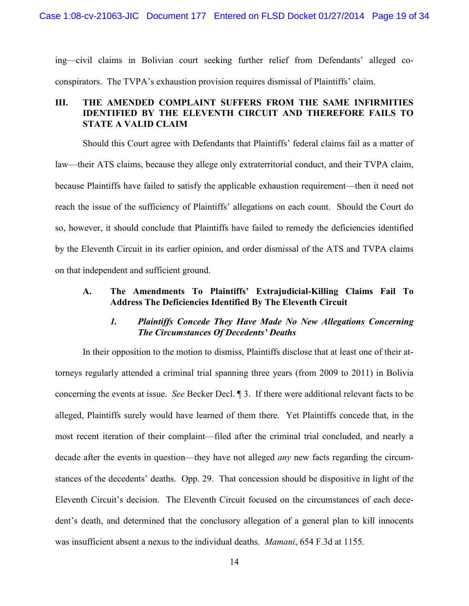ing—civil claims in Bolivian court seeking further relief from Defendants' alleged coconspirators. The TVPA's exhaustion provision requires dismissal of Plaintiffs' claim.

# **III. THE AMENDED COMPLAINT SUFFERS FROM THE SAME INFIRMITIES IDENTIFIED BY THE ELEVENTH CIRCUIT AND THEREFORE FAILS TO STATE A VALID CLAIM**

Should this Court agree with Defendants that Plaintiffs' federal claims fail as a matter of law—their ATS claims, because they allege only extraterritorial conduct, and their TVPA claim, because Plaintiffs have failed to satisfy the applicable exhaustion requirement—then it need not reach the issue of the sufficiency of Plaintiffs' allegations on each count. Should the Court do so, however, it should conclude that Plaintiffs have failed to remedy the deficiencies identified by the Eleventh Circuit in its earlier opinion, and order dismissal of the ATS and TVPA claims on that independent and sufficient ground.

# **A. The Amendments To Plaintiffs' Extrajudicial-Killing Claims Fail To Address The Deficiencies Identified By The Eleventh Circuit**

## *1. Plaintiffs Concede They Have Made No New Allegations Concerning The Circumstances Of Decedents' Deaths*

In their opposition to the motion to dismiss, Plaintiffs disclose that at least one of their attorneys regularly attended a criminal trial spanning three years (from 2009 to 2011) in Bolivia concerning the events at issue. *See* Becker Decl. ¶ 3. If there were additional relevant facts to be alleged, Plaintiffs surely would have learned of them there. Yet Plaintiffs concede that, in the most recent iteration of their complaint—filed after the criminal trial concluded, and nearly a decade after the events in question—they have not alleged *any* new facts regarding the circumstances of the decedents' deaths. Opp. 29. That concession should be dispositive in light of the Eleventh Circuit's decision. The Eleventh Circuit focused on the circumstances of each decedent's death, and determined that the conclusory allegation of a general plan to kill innocents was insufficient absent a nexus to the individual deaths. *Mamani*, 654 F.3d at 1155.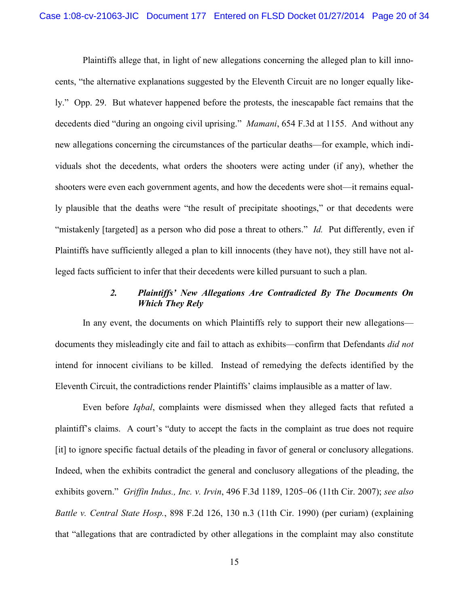Plaintiffs allege that, in light of new allegations concerning the alleged plan to kill innocents, "the alternative explanations suggested by the Eleventh Circuit are no longer equally likely." Opp. 29. But whatever happened before the protests, the inescapable fact remains that the decedents died "during an ongoing civil uprising." *Mamani*, 654 F.3d at 1155. And without any new allegations concerning the circumstances of the particular deaths—for example, which individuals shot the decedents, what orders the shooters were acting under (if any), whether the shooters were even each government agents, and how the decedents were shot—it remains equally plausible that the deaths were "the result of precipitate shootings," or that decedents were "mistakenly [targeted] as a person who did pose a threat to others." *Id.* Put differently, even if Plaintiffs have sufficiently alleged a plan to kill innocents (they have not), they still have not alleged facts sufficient to infer that their decedents were killed pursuant to such a plan.

# *2. Plaintiffs' New Allegations Are Contradicted By The Documents On Which They Rely*

In any event, the documents on which Plaintiffs rely to support their new allegations documents they misleadingly cite and fail to attach as exhibits—confirm that Defendants *did not*  intend for innocent civilians to be killed. Instead of remedying the defects identified by the Eleventh Circuit, the contradictions render Plaintiffs' claims implausible as a matter of law.

Even before *Iqbal*, complaints were dismissed when they alleged facts that refuted a plaintiff's claims. A court's "duty to accept the facts in the complaint as true does not require [it] to ignore specific factual details of the pleading in favor of general or conclusory allegations. Indeed, when the exhibits contradict the general and conclusory allegations of the pleading, the exhibits govern." *Griffin Indus., Inc. v. Irvin*, 496 F.3d 1189, 1205–06 (11th Cir. 2007); *see also Battle v. Central State Hosp.*, 898 F.2d 126, 130 n.3 (11th Cir. 1990) (per curiam) (explaining that "allegations that are contradicted by other allegations in the complaint may also constitute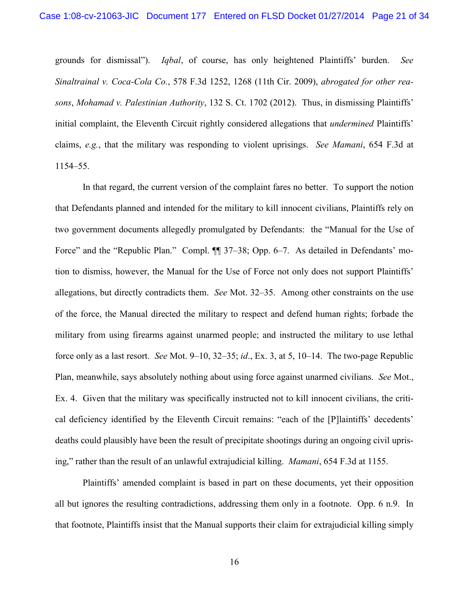grounds for dismissal"). *Iqbal*, of course, has only heightened Plaintiffs' burden. *See Sinaltrainal v. Coca-Cola Co.*, 578 F.3d 1252, 1268 (11th Cir. 2009), *abrogated for other reasons*, *Mohamad v. Palestinian Authority*, 132 S. Ct. 1702 (2012). Thus, in dismissing Plaintiffs' initial complaint, the Eleventh Circuit rightly considered allegations that *undermined* Plaintiffs' claims, *e.g.*, that the military was responding to violent uprisings. *See Mamani*, 654 F.3d at 1154–55.

In that regard, the current version of the complaint fares no better. To support the notion that Defendants planned and intended for the military to kill innocent civilians, Plaintiffs rely on two government documents allegedly promulgated by Defendants: the "Manual for the Use of Force" and the "Republic Plan." Compl.  $\P\P$  37-38; Opp. 6-7. As detailed in Defendants' motion to dismiss, however, the Manual for the Use of Force not only does not support Plaintiffs' allegations, but directly contradicts them. *See* Mot. 32–35. Among other constraints on the use of the force, the Manual directed the military to respect and defend human rights; forbade the military from using firearms against unarmed people; and instructed the military to use lethal force only as a last resort. *See* Mot. 9–10, 32–35; *id*., Ex. 3, at 5, 10–14. The two-page Republic Plan, meanwhile, says absolutely nothing about using force against unarmed civilians. *See* Mot., Ex. 4. Given that the military was specifically instructed not to kill innocent civilians, the critical deficiency identified by the Eleventh Circuit remains: "each of the [P]laintiffs' decedents' deaths could plausibly have been the result of precipitate shootings during an ongoing civil uprising," rather than the result of an unlawful extrajudicial killing. *Mamani*, 654 F.3d at 1155.

Plaintiffs' amended complaint is based in part on these documents, yet their opposition all but ignores the resulting contradictions, addressing them only in a footnote. Opp. 6 n.9. In that footnote, Plaintiffs insist that the Manual supports their claim for extrajudicial killing simply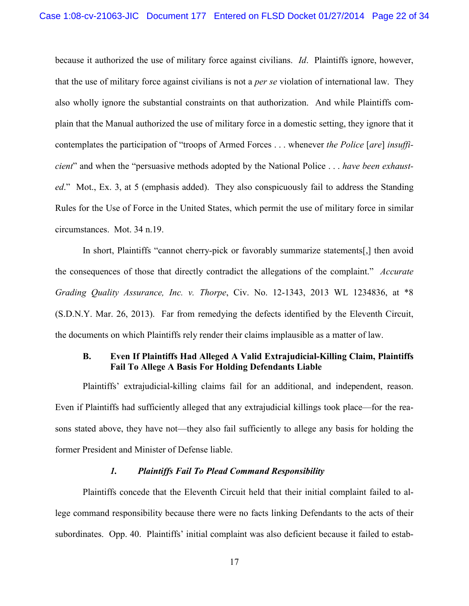because it authorized the use of military force against civilians. *Id*. Plaintiffs ignore, however, that the use of military force against civilians is not a *per se* violation of international law. They also wholly ignore the substantial constraints on that authorization. And while Plaintiffs complain that the Manual authorized the use of military force in a domestic setting, they ignore that it contemplates the participation of "troops of Armed Forces . . . whenever *the Police* [*are*] *insufficient*" and when the "persuasive methods adopted by the National Police . . . *have been exhausted*." Mot., Ex. 3, at 5 (emphasis added). They also conspicuously fail to address the Standing Rules for the Use of Force in the United States, which permit the use of military force in similar circumstances. Mot. 34 n.19.

In short, Plaintiffs "cannot cherry-pick or favorably summarize statements[,] then avoid the consequences of those that directly contradict the allegations of the complaint." *Accurate Grading Quality Assurance, Inc. v. Thorpe*, Civ. No. 12-1343, 2013 WL 1234836, at \*8 (S.D.N.Y. Mar. 26, 2013). Far from remedying the defects identified by the Eleventh Circuit, the documents on which Plaintiffs rely render their claims implausible as a matter of law.

#### **B. Even If Plaintiffs Had Alleged A Valid Extrajudicial-Killing Claim, Plaintiffs Fail To Allege A Basis For Holding Defendants Liable**

Plaintiffs' extrajudicial-killing claims fail for an additional, and independent, reason. Even if Plaintiffs had sufficiently alleged that any extrajudicial killings took place—for the reasons stated above, they have not—they also fail sufficiently to allege any basis for holding the former President and Minister of Defense liable.

#### *1. Plaintiffs Fail To Plead Command Responsibility*

Plaintiffs concede that the Eleventh Circuit held that their initial complaint failed to allege command responsibility because there were no facts linking Defendants to the acts of their subordinates. Opp. 40. Plaintiffs' initial complaint was also deficient because it failed to estab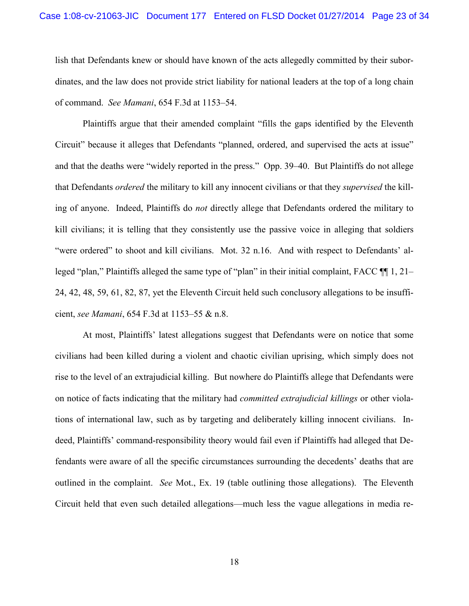lish that Defendants knew or should have known of the acts allegedly committed by their subordinates, and the law does not provide strict liability for national leaders at the top of a long chain of command. *See Mamani*, 654 F.3d at 1153–54.

Plaintiffs argue that their amended complaint "fills the gaps identified by the Eleventh Circuit" because it alleges that Defendants "planned, ordered, and supervised the acts at issue" and that the deaths were "widely reported in the press." Opp. 39–40. But Plaintiffs do not allege that Defendants *ordered* the military to kill any innocent civilians or that they *supervised* the killing of anyone. Indeed, Plaintiffs do *not* directly allege that Defendants ordered the military to kill civilians; it is telling that they consistently use the passive voice in alleging that soldiers "were ordered" to shoot and kill civilians. Mot. 32 n.16. And with respect to Defendants' alleged "plan," Plaintiffs alleged the same type of "plan" in their initial complaint, FACC ¶¶ 1, 21– 24, 42, 48, 59, 61, 82, 87, yet the Eleventh Circuit held such conclusory allegations to be insufficient, *see Mamani*, 654 F.3d at 1153–55 & n.8.

At most, Plaintiffs' latest allegations suggest that Defendants were on notice that some civilians had been killed during a violent and chaotic civilian uprising, which simply does not rise to the level of an extrajudicial killing. But nowhere do Plaintiffs allege that Defendants were on notice of facts indicating that the military had *committed extrajudicial killings* or other violations of international law, such as by targeting and deliberately killing innocent civilians. Indeed, Plaintiffs' command-responsibility theory would fail even if Plaintiffs had alleged that Defendants were aware of all the specific circumstances surrounding the decedents' deaths that are outlined in the complaint. *See* Mot., Ex. 19 (table outlining those allegations). The Eleventh Circuit held that even such detailed allegations—much less the vague allegations in media re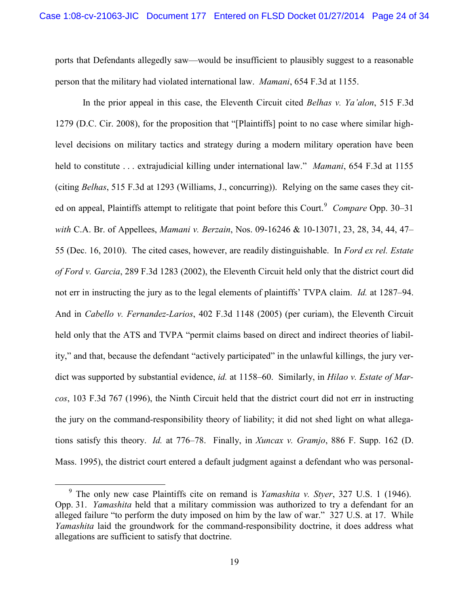ports that Defendants allegedly saw—would be insufficient to plausibly suggest to a reasonable person that the military had violated international law. *Mamani*, 654 F.3d at 1155.

In the prior appeal in this case, the Eleventh Circuit cited *Belhas v. Ya'alon*, 515 F.3d 1279 (D.C. Cir. 2008), for the proposition that "[Plaintiffs] point to no case where similar highlevel decisions on military tactics and strategy during a modern military operation have been held to constitute . . . extrajudicial killing under international law." *Mamani*, 654 F.3d at 1155 (citing *Belhas*, 515 F.3d at 1293 (Williams, J., concurring)). Relying on the same cases they cited on appeal, Plaintiffs attempt to relitigate that point before this Court.<sup>9</sup> Compare Opp. 30–31 *with* C.A. Br. of Appellees, *Mamani v. Berzain*, Nos. 09-16246 & 10-13071, 23, 28, 34, 44, 47– 55 (Dec. 16, 2010). The cited cases, however, are readily distinguishable. In *Ford ex rel. Estate of Ford v. Garcia*, 289 F.3d 1283 (2002), the Eleventh Circuit held only that the district court did not err in instructing the jury as to the legal elements of plaintiffs' TVPA claim. *Id.* at 1287–94. And in *Cabello v. Fernandez-Larios*, 402 F.3d 1148 (2005) (per curiam), the Eleventh Circuit held only that the ATS and TVPA "permit claims based on direct and indirect theories of liability," and that, because the defendant "actively participated" in the unlawful killings, the jury verdict was supported by substantial evidence, *id.* at 1158–60. Similarly, in *Hilao v. Estate of Marcos*, 103 F.3d 767 (1996), the Ninth Circuit held that the district court did not err in instructing the jury on the command-responsibility theory of liability; it did not shed light on what allegations satisfy this theory. *Id.* at 776–78. Finally, in *Xuncax v. Gramjo*, 886 F. Supp. 162 (D. Mass. 1995), the district court entered a default judgment against a defendant who was personal-

<sup>9</sup> The only new case Plaintiffs cite on remand is *Yamashita v. Styer*, 327 U.S. 1 (1946). Opp. 31. *Yamashita* held that a military commission was authorized to try a defendant for an alleged failure "to perform the duty imposed on him by the law of war." 327 U.S. at 17. While *Yamashita* laid the groundwork for the command-responsibility doctrine, it does address what allegations are sufficient to satisfy that doctrine.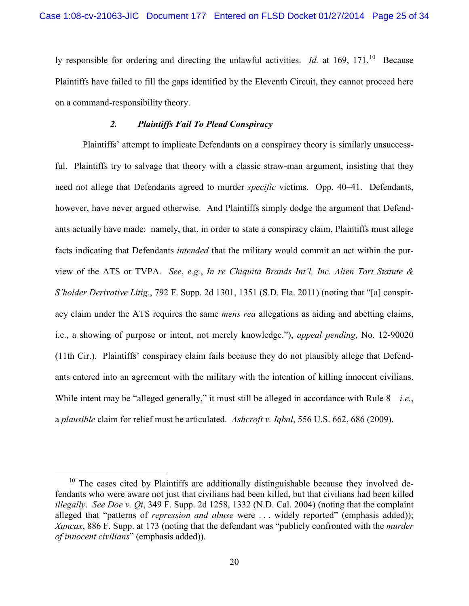ly responsible for ordering and directing the unlawful activities. *Id.* at 169, 171.<sup>10</sup> Because Plaintiffs have failed to fill the gaps identified by the Eleventh Circuit, they cannot proceed here on a command-responsibility theory.

#### *2. Plaintiffs Fail To Plead Conspiracy*

Plaintiffs' attempt to implicate Defendants on a conspiracy theory is similarly unsuccessful. Plaintiffs try to salvage that theory with a classic straw-man argument, insisting that they need not allege that Defendants agreed to murder *specific* victims. Opp. 40–41. Defendants, however, have never argued otherwise. And Plaintiffs simply dodge the argument that Defendants actually have made: namely, that, in order to state a conspiracy claim, Plaintiffs must allege facts indicating that Defendants *intended* that the military would commit an act within the purview of the ATS or TVPA. *See*, *e.g.*, *In re Chiquita Brands Int'l, Inc. Alien Tort Statute & S'holder Derivative Litig.*, 792 F. Supp. 2d 1301, 1351 (S.D. Fla. 2011) (noting that "[a] conspiracy claim under the ATS requires the same *mens rea* allegations as aiding and abetting claims, i.e., a showing of purpose or intent, not merely knowledge."), *appeal pending*, No. 12-90020 (11th Cir.). Plaintiffs' conspiracy claim fails because they do not plausibly allege that Defendants entered into an agreement with the military with the intention of killing innocent civilians. While intent may be "alleged generally," it must still be alleged in accordance with Rule 8—*i.e.*, a *plausible* claim for relief must be articulated. *Ashcroft v. Iqbal*, 556 U.S. 662, 686 (2009).

 $10$  The cases cited by Plaintiffs are additionally distinguishable because they involved defendants who were aware not just that civilians had been killed, but that civilians had been killed *illegally*. *See Doe v. Qi*, 349 F. Supp. 2d 1258, 1332 (N.D. Cal. 2004) (noting that the complaint alleged that "patterns of *repression and abuse* were . . . widely reported" (emphasis added)); *Xuncax*, 886 F. Supp. at 173 (noting that the defendant was "publicly confronted with the *murder of innocent civilians*" (emphasis added)).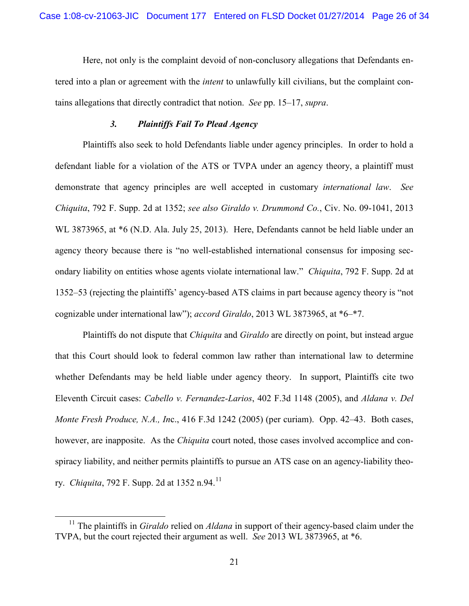Here, not only is the complaint devoid of non-conclusory allegations that Defendants entered into a plan or agreement with the *intent* to unlawfully kill civilians, but the complaint contains allegations that directly contradict that notion. *See* pp. 15–17, *supra*.

#### *3. Plaintiffs Fail To Plead Agency*

Plaintiffs also seek to hold Defendants liable under agency principles. In order to hold a defendant liable for a violation of the ATS or TVPA under an agency theory, a plaintiff must demonstrate that agency principles are well accepted in customary *international law*. *See Chiquita*, 792 F. Supp. 2d at 1352; *see also Giraldo v. Drummond Co.*, Civ. No. 09-1041, 2013 WL 3873965, at  $*6$  (N.D. Ala. July 25, 2013). Here, Defendants cannot be held liable under an agency theory because there is "no well-established international consensus for imposing secondary liability on entities whose agents violate international law." *Chiquita*, 792 F. Supp. 2d at 1352–53 (rejecting the plaintiffs' agency-based ATS claims in part because agency theory is "not cognizable under international law"); *accord Giraldo*, 2013 WL 3873965, at \*6–\*7.

Plaintiffs do not dispute that *Chiquita* and *Giraldo* are directly on point, but instead argue that this Court should look to federal common law rather than international law to determine whether Defendants may be held liable under agency theory. In support, Plaintiffs cite two Eleventh Circuit cases: *Cabello v. Fernandez-Larios*, 402 F.3d 1148 (2005), and *Aldana v. Del Monte Fresh Produce, N.A., In*c., 416 F.3d 1242 (2005) (per curiam). Opp. 42–43. Both cases, however, are inapposite. As the *Chiquita* court noted, those cases involved accomplice and conspiracy liability, and neither permits plaintiffs to pursue an ATS case on an agency-liability theory. *Chiquita*, 792 F. Supp. 2d at 1352 n.94.<sup>11</sup>

<sup>&</sup>lt;sup>11</sup> The plaintiffs in *Giraldo* relied on *Aldana* in support of their agency-based claim under the TVPA, but the court rejected their argument as well. *See* 2013 WL 3873965, at \*6.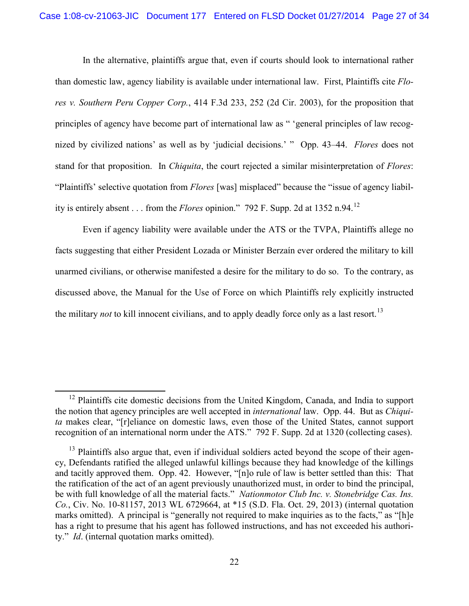In the alternative, plaintiffs argue that, even if courts should look to international rather than domestic law, agency liability is available under international law. First, Plaintiffs cite *Flores v. Southern Peru Copper Corp.*, 414 F.3d 233, 252 (2d Cir. 2003), for the proposition that principles of agency have become part of international law as " 'general principles of law recognized by civilized nations' as well as by 'judicial decisions.' " Opp. 43–44. *Flores* does not stand for that proposition. In *Chiquita*, the court rejected a similar misinterpretation of *Flores*: "Plaintiffs' selective quotation from *Flores* [was] misplaced" because the "issue of agency liability is entirely absent  $\ldots$  from the *Flores* opinion." 792 F. Supp. 2d at 1352 n.94.<sup>12</sup>

Even if agency liability were available under the ATS or the TVPA, Plaintiffs allege no facts suggesting that either President Lozada or Minister Berzaín ever ordered the military to kill unarmed civilians, or otherwise manifested a desire for the military to do so. To the contrary, as discussed above, the Manual for the Use of Force on which Plaintiffs rely explicitly instructed the military *not* to kill innocent civilians, and to apply deadly force only as a last resort.<sup>13</sup>

<sup>&</sup>lt;sup>12</sup> Plaintiffs cite domestic decisions from the United Kingdom, Canada, and India to support the notion that agency principles are well accepted in *international* law. Opp. 44. But as *Chiquita* makes clear, "[r]eliance on domestic laws, even those of the United States, cannot support recognition of an international norm under the ATS." 792 F. Supp. 2d at 1320 (collecting cases).

 $13$  Plaintiffs also argue that, even if individual soldiers acted beyond the scope of their agency, Defendants ratified the alleged unlawful killings because they had knowledge of the killings and tacitly approved them. Opp. 42. However, "[n]o rule of law is better settled than this: That the ratification of the act of an agent previously unauthorized must, in order to bind the principal, be with full knowledge of all the material facts." *Nationmotor Club Inc. v. Stonebridge Cas. Ins. Co.*, Civ. No. 10-81157, 2013 WL 6729664, at \*15 (S.D. Fla. Oct. 29, 2013) (internal quotation marks omitted). A principal is "generally not required to make inquiries as to the facts," as "[h]e has a right to presume that his agent has followed instructions, and has not exceeded his authority." *Id*. (internal quotation marks omitted).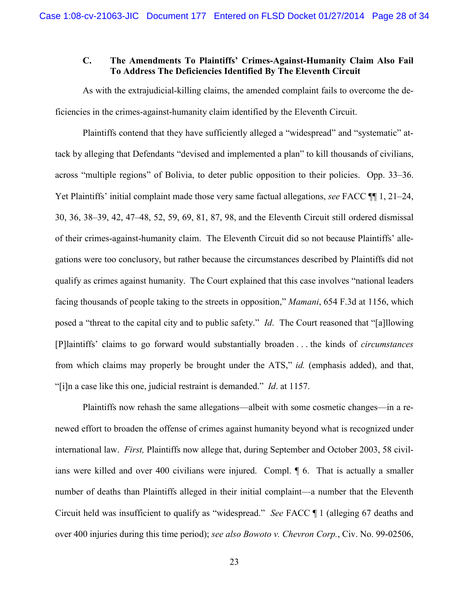## **C. The Amendments To Plaintiffs' Crimes-Against-Humanity Claim Also Fail To Address The Deficiencies Identified By The Eleventh Circuit**

As with the extrajudicial-killing claims, the amended complaint fails to overcome the deficiencies in the crimes-against-humanity claim identified by the Eleventh Circuit.

Plaintiffs contend that they have sufficiently alleged a "widespread" and "systematic" attack by alleging that Defendants "devised and implemented a plan" to kill thousands of civilians, across "multiple regions" of Bolivia, to deter public opposition to their policies. Opp. 33–36. Yet Plaintiffs' initial complaint made those very same factual allegations, *see* FACC ¶¶ 1, 21–24, 30, 36, 38–39, 42, 47–48, 52, 59, 69, 81, 87, 98, and the Eleventh Circuit still ordered dismissal of their crimes-against-humanity claim. The Eleventh Circuit did so not because Plaintiffs' allegations were too conclusory, but rather because the circumstances described by Plaintiffs did not qualify as crimes against humanity. The Court explained that this case involves "national leaders facing thousands of people taking to the streets in opposition," *Mamani*, 654 F.3d at 1156, which posed a "threat to the capital city and to public safety." *Id*. The Court reasoned that "[a]llowing [P]laintiffs' claims to go forward would substantially broaden . . . the kinds of *circumstances*  from which claims may properly be brought under the ATS," *id.* (emphasis added), and that, "[i]n a case like this one, judicial restraint is demanded." *Id*. at 1157.

Plaintiffs now rehash the same allegations—albeit with some cosmetic changes—in a renewed effort to broaden the offense of crimes against humanity beyond what is recognized under international law. *First,* Plaintiffs now allege that, during September and October 2003, 58 civilians were killed and over 400 civilians were injured. Compl. ¶ 6. That is actually a smaller number of deaths than Plaintiffs alleged in their initial complaint—a number that the Eleventh Circuit held was insufficient to qualify as "widespread." *See* FACC ¶ 1 (alleging 67 deaths and over 400 injuries during this time period); *see also Bowoto v. Chevron Corp.*, Civ. No. 99-02506,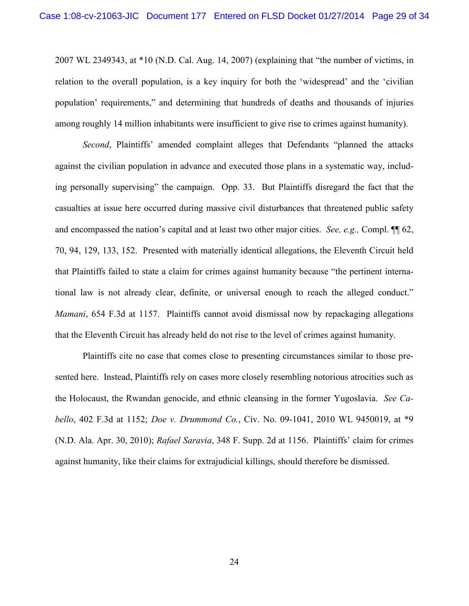2007 WL 2349343, at \*10 (N.D. Cal. Aug. 14, 2007) (explaining that "the number of victims, in relation to the overall population, is a key inquiry for both the 'widespread' and the 'civilian population' requirements," and determining that hundreds of deaths and thousands of injuries among roughly 14 million inhabitants were insufficient to give rise to crimes against humanity).

*Second*, Plaintiffs' amended complaint alleges that Defendants "planned the attacks against the civilian population in advance and executed those plans in a systematic way, including personally supervising" the campaign. Opp. 33. But Plaintiffs disregard the fact that the casualties at issue here occurred during massive civil disturbances that threatened public safety and encompassed the nation's capital and at least two other major cities. *See, e.g.,* Compl. ¶¶ 62, 70, 94, 129, 133, 152. Presented with materially identical allegations, the Eleventh Circuit held that Plaintiffs failed to state a claim for crimes against humanity because "the pertinent international law is not already clear, definite, or universal enough to reach the alleged conduct." *Mamani*, 654 F.3d at 1157. Plaintiffs cannot avoid dismissal now by repackaging allegations that the Eleventh Circuit has already held do not rise to the level of crimes against humanity.

Plaintiffs cite no case that comes close to presenting circumstances similar to those presented here. Instead, Plaintiffs rely on cases more closely resembling notorious atrocities such as the Holocaust, the Rwandan genocide, and ethnic cleansing in the former Yugoslavia. *See Cabello*, 402 F.3d at 1152; *Doe v. Drummond Co.*, Civ. No. 09-1041, 2010 WL 9450019, at \*9 (N.D. Ala. Apr. 30, 2010); *Rafael Saravia*, 348 F. Supp. 2d at 1156. Plaintiffs' claim for crimes against humanity, like their claims for extrajudicial killings, should therefore be dismissed.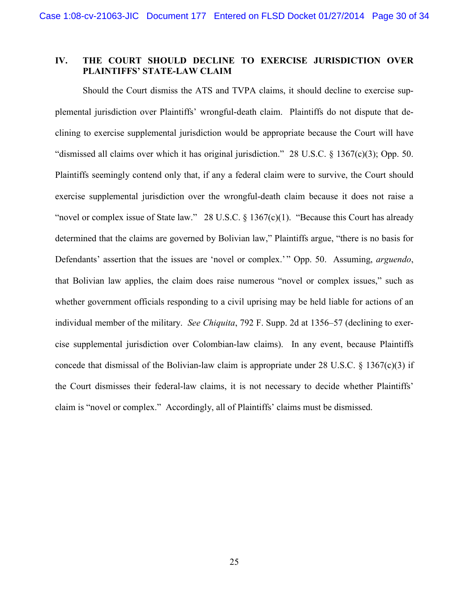# **IV. THE COURT SHOULD DECLINE TO EXERCISE JURISDICTION OVER PLAINTIFFS' STATE-LAW CLAIM**

Should the Court dismiss the ATS and TVPA claims, it should decline to exercise supplemental jurisdiction over Plaintiffs' wrongful-death claim. Plaintiffs do not dispute that declining to exercise supplemental jurisdiction would be appropriate because the Court will have "dismissed all claims over which it has original jurisdiction." 28 U.S.C. § 1367(c)(3); Opp. 50. Plaintiffs seemingly contend only that, if any a federal claim were to survive, the Court should exercise supplemental jurisdiction over the wrongful-death claim because it does not raise a "novel or complex issue of State law." 28 U.S.C. § 1367(c)(1). "Because this Court has already determined that the claims are governed by Bolivian law," Plaintiffs argue, "there is no basis for Defendants' assertion that the issues are 'novel or complex.'" Opp. 50. Assuming, *arguendo*, that Bolivian law applies, the claim does raise numerous "novel or complex issues," such as whether government officials responding to a civil uprising may be held liable for actions of an individual member of the military. *See Chiquita*, 792 F. Supp. 2d at 1356–57 (declining to exercise supplemental jurisdiction over Colombian-law claims). In any event, because Plaintiffs concede that dismissal of the Bolivian-law claim is appropriate under 28 U.S.C.  $\S$  1367(c)(3) if the Court dismisses their federal-law claims, it is not necessary to decide whether Plaintiffs' claim is "novel or complex." Accordingly, all of Plaintiffs' claims must be dismissed.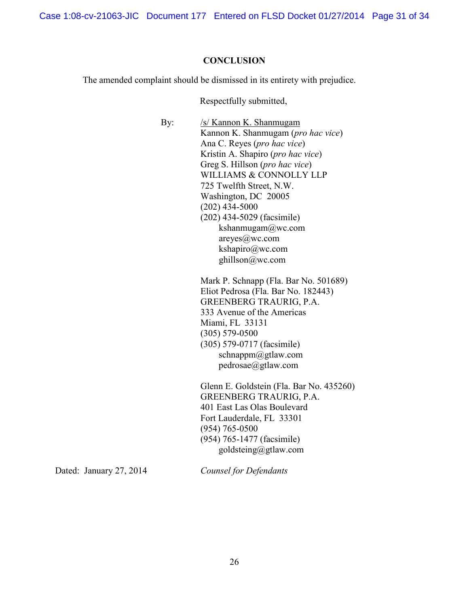Case 1:08-cv-21063-JIC Document 177 Entered on FLSD Docket 01/27/2014 Page 31 of 34

#### **CONCLUSION**

The amended complaint should be dismissed in its entirety with prejudice.

Respectfully submitted,

By: /s/ Kannon K. Shanmugam Kannon K. Shanmugam (*pro hac vice*) Ana C. Reyes (*pro hac vice*) Kristin A. Shapiro (*pro hac vice*) Greg S. Hillson (*pro hac vice*) WILLIAMS & CONNOLLY LLP 725 Twelfth Street, N.W. Washington, DC 20005 (202) 434-5000 (202) 434-5029 (facsimile) kshanmugam@wc.com areyes@wc.com kshapiro@wc.com ghillson@wc.com Mark P. Schnapp (Fla. Bar No. 501689) Eliot Pedrosa (Fla. Bar No. 182443) GREENBERG TRAURIG, P.A. 333 Avenue of the Americas Miami, FL 33131 (305) 579-0500 (305) 579-0717 (facsimile) schnappm@gtlaw.com pedrosae@gtlaw.com Glenn E. Goldstein (Fla. Bar No. 435260) GREENBERG TRAURIG, P.A. 401 East Las Olas Boulevard

Fort Lauderdale, FL 33301 (954) 765-0500 (954) 765-1477 (facsimile) goldsteing@gtlaw.com

Dated: January 27, 2014

*Counsel for Defendants*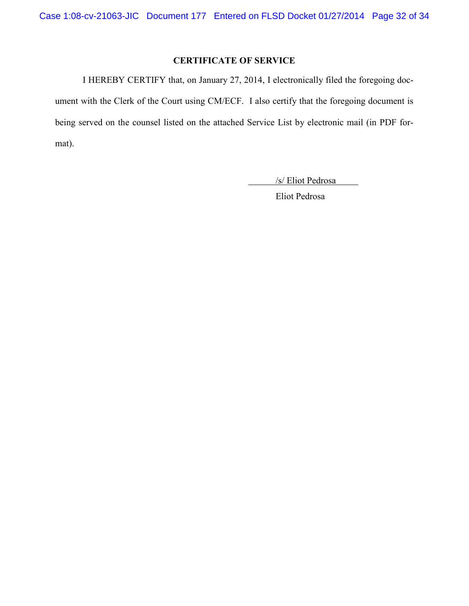# **CERTIFICATE OF SERVICE**

I HEREBY CERTIFY that, on January 27, 2014, I electronically filed the foregoing document with the Clerk of the Court using CM/ECF. I also certify that the foregoing document is being served on the counsel listed on the attached Service List by electronic mail (in PDF format).

/s/ Eliot Pedrosa

Eliot Pedrosa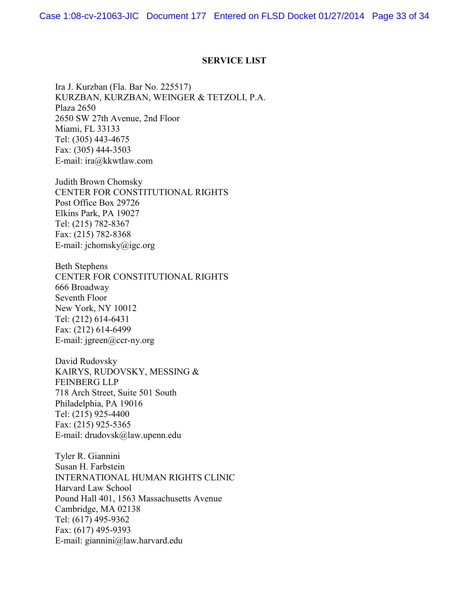Case 1:08-cv-21063-JIC Document 177 Entered on FLSD Docket 01/27/2014 Page 33 of 34

#### **SERVICE LIST**

Ira J. Kurzban (Fla. Bar No. 225517) KURZBAN, KURZBAN, WEINGER & TETZOLI, P.A. Plaza 2650 2650 SW 27th Avenue, 2nd Floor Miami, FL 33133 Tel: (305) 443-4675 Fax: (305) 444-3503 E-mail: ira@kkwtlaw.com

Judith Brown Chomsky CENTER FOR CONSTITUTIONAL RIGHTS Post Office Box 29726 Elkins Park, PA 19027 Tel: (215) 782-8367 Fax: (215) 782-8368 E-mail: jchomsky@igc.org

Beth Stephens CENTER FOR CONSTITUTIONAL RIGHTS 666 Broadway Seventh Floor New York, NY 10012 Tel: (212) 614-6431 Fax: (212) 614-6499 E-mail: jgreen@ccr-ny.org

David Rudovsky KAIRYS, RUDOVSKY, MESSING & FEINBERG LLP 718 Arch Street, Suite 501 South Philadelphia, PA 19016 Tel: (215) 925-4400 Fax: (215) 925-5365 E-mail: drudovsk@law.upenn.edu

Tyler R. Giannini Susan H. Farbstein INTERNATIONAL HUMAN RIGHTS CLINIC Harvard Law School Pound Hall 401, 1563 Massachusetts Avenue Cambridge, MA 02138 Tel: (617) 495-9362 Fax: (617) 495-9393 E-mail: giannini@law.harvard.edu